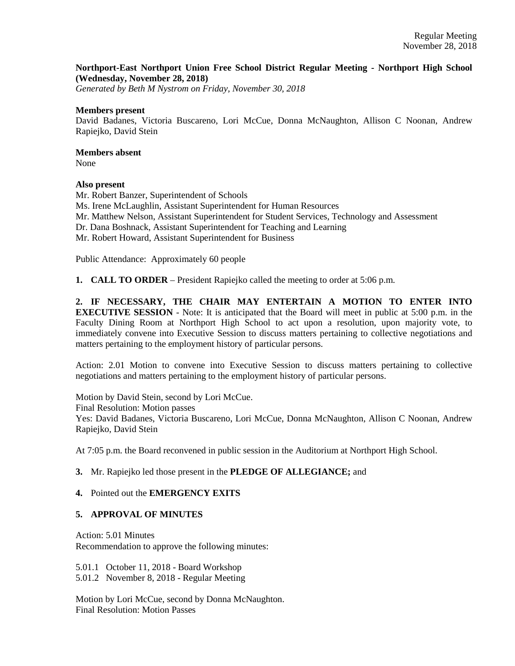## **Northport-East Northport Union Free School District Regular Meeting - Northport High School (Wednesday, November 28, 2018)**

*Generated by Beth M Nystrom on Friday, November 30, 2018*

#### **Members present**

David Badanes, Victoria Buscareno, Lori McCue, Donna McNaughton, Allison C Noonan, Andrew Rapiejko, David Stein

# **Members absent**

None

#### **Also present**

Mr. Robert Banzer, Superintendent of Schools Ms. Irene McLaughlin, Assistant Superintendent for Human Resources Mr. Matthew Nelson, Assistant Superintendent for Student Services, Technology and Assessment Dr. Dana Boshnack, Assistant Superintendent for Teaching and Learning Mr. Robert Howard, Assistant Superintendent for Business

Public Attendance: Approximately 60 people

**1. CALL TO ORDER** – President Rapiejko called the meeting to order at 5:06 p.m.

**2. IF NECESSARY, THE CHAIR MAY ENTERTAIN A MOTION TO ENTER INTO EXECUTIVE SESSION** - Note: It is anticipated that the Board will meet in public at 5:00 p.m. in the Faculty Dining Room at Northport High School to act upon a resolution, upon majority vote, to immediately convene into Executive Session to discuss matters pertaining to collective negotiations and matters pertaining to the employment history of particular persons.

Action: 2.01 Motion to convene into Executive Session to discuss matters pertaining to collective negotiations and matters pertaining to the employment history of particular persons.

Motion by David Stein, second by Lori McCue. Final Resolution: Motion passes Yes: David Badanes, Victoria Buscareno, Lori McCue, Donna McNaughton, Allison C Noonan, Andrew Rapiejko, David Stein

At 7:05 p.m. the Board reconvened in public session in the Auditorium at Northport High School.

## **3.** Mr. Rapiejko led those present in the **PLEDGE OF ALLEGIANCE;** and

#### **4.** Pointed out the **EMERGENCY EXITS**

## **5. APPROVAL OF MINUTES**

Action: 5.01 Minutes Recommendation to approve the following minutes:

5.01.1 October 11, 2018 - Board Workshop

5.01.2 November 8, 2018 - Regular Meeting

Motion by Lori McCue, second by Donna McNaughton. Final Resolution: Motion Passes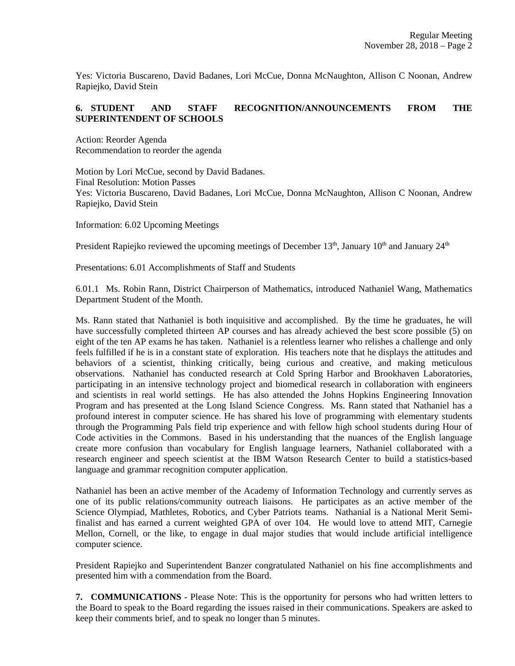Yes: Victoria Buscareno, David Badanes, Lori McCue, Donna McNaughton, Allison C Noonan, Andrew Rapiejko, David Stein

## **6. STUDENT AND STAFF RECOGNITION/ANNOUNCEMENTS FROM THE SUPERINTENDENT OF SCHOOLS**

Action: Reorder Agenda Recommendation to reorder the agenda

Motion by Lori McCue, second by David Badanes. Final Resolution: Motion Passes Yes: Victoria Buscareno, David Badanes, Lori McCue, Donna McNaughton, Allison C Noonan, Andrew Rapiejko, David Stein

Information: 6.02 Upcoming Meetings

President Rapiejko reviewed the upcoming meetings of December  $13<sup>th</sup>$ , January  $10<sup>th</sup>$  and January  $24<sup>th</sup>$ 

Presentations: 6.01 Accomplishments of Staff and Students

6.01.1 Ms. Robin Rann, District Chairperson of Mathematics, introduced Nathaniel Wang, Mathematics Department Student of the Month.

Ms. Rann stated that Nathaniel is both inquisitive and accomplished. By the time he graduates, he will have successfully completed thirteen AP courses and has already achieved the best score possible (5) on eight of the ten AP exams he has taken. Nathaniel is a relentless learner who relishes a challenge and only feels fulfilled if he is in a constant state of exploration. His teachers note that he displays the attitudes and behaviors of a scientist, thinking critically, being curious and creative, and making meticulous observations. Nathaniel has conducted research at Cold Spring Harbor and Brookhaven Laboratories, participating in an intensive technology project and biomedical research in collaboration with engineers and scientists in real world settings. He has also attended the Johns Hopkins Engineering Innovation Program and has presented at the Long Island Science Congress. Ms. Rann stated that Nathaniel has a profound interest in computer science. He has shared his love of programming with elementary students through the Programming Pals field trip experience and with fellow high school students during Hour of Code activities in the Commons. Based in his understanding that the nuances of the English language create more confusion than vocabulary for English language learners, Nathaniel collaborated with a research engineer and speech scientist at the IBM Watson Research Center to build a statistics-based language and grammar recognition computer application.

Nathaniel has been an active member of the Academy of Information Technology and currently serves as one of its public relations/community outreach liaisons. He participates as an active member of the Science Olympiad, Mathletes, Robotics, and Cyber Patriots teams. Nathanial is a National Merit Semifinalist and has earned a current weighted GPA of over 104. He would love to attend MIT, Carnegie Mellon, Cornell, or the like, to engage in dual major studies that would include artificial intelligence computer science.

President Rapiejko and Superintendent Banzer congratulated Nathaniel on his fine accomplishments and presented him with a commendation from the Board.

**7. COMMUNICATIONS** - Please Note: This is the opportunity for persons who had written letters to the Board to speak to the Board regarding the issues raised in their communications. Speakers are asked to keep their comments brief, and to speak no longer than 5 minutes.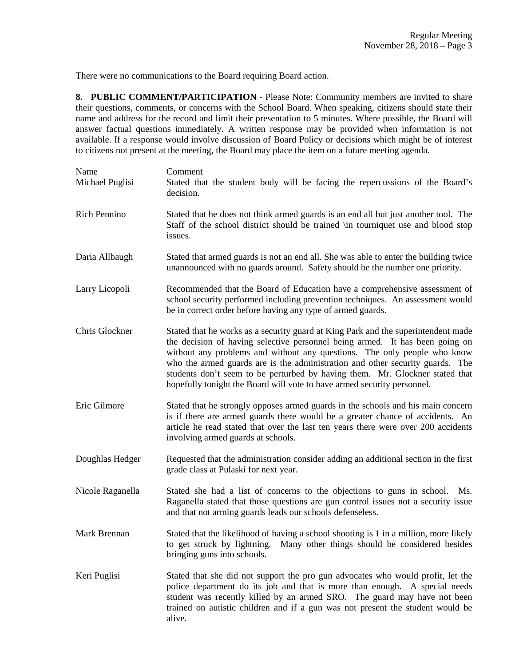There were no communications to the Board requiring Board action.

**8. PUBLIC COMMENT/PARTICIPATION** - Please Note: Community members are invited to share their questions, comments, or concerns with the School Board. When speaking, citizens should state their name and address for the record and limit their presentation to 5 minutes. Where possible, the Board will answer factual questions immediately. A written response may be provided when information is not available. If a response would involve discussion of Board Policy or decisions which might be of interest to citizens not present at the meeting, the Board may place the item on a future meeting agenda.

| Name<br>Michael Puglisi | Comment<br>Stated that the student body will be facing the repercussions of the Board's<br>decision.                                                                                                                                                                                                                                                                                                                                                                                      |
|-------------------------|-------------------------------------------------------------------------------------------------------------------------------------------------------------------------------------------------------------------------------------------------------------------------------------------------------------------------------------------------------------------------------------------------------------------------------------------------------------------------------------------|
| Rich Pennino            | Stated that he does not think armed guards is an end all but just another tool. The<br>Staff of the school district should be trained \in tourniquet use and blood stop<br>issues.                                                                                                                                                                                                                                                                                                        |
| Daria Allbaugh          | Stated that armed guards is not an end all. She was able to enter the building twice<br>unannounced with no guards around. Safety should be the number one priority.                                                                                                                                                                                                                                                                                                                      |
| Larry Licopoli          | Recommended that the Board of Education have a comprehensive assessment of<br>school security performed including prevention techniques. An assessment would<br>be in correct order before having any type of armed guards.                                                                                                                                                                                                                                                               |
| Chris Glockner          | Stated that he works as a security guard at King Park and the superintendent made<br>the decision of having selective personnel being armed. It has been going on<br>without any problems and without any questions. The only people who know<br>who the armed guards are is the administration and other security guards. The<br>students don't seem to be perturbed by having them. Mr. Glockner stated that<br>hopefully tonight the Board will vote to have armed security personnel. |
| Eric Gilmore            | Stated that he strongly opposes armed guards in the schools and his main concern<br>is if there are armed guards there would be a greater chance of accidents. An<br>article he read stated that over the last ten years there were over 200 accidents<br>involving armed guards at schools.                                                                                                                                                                                              |
| Doughlas Hedger         | Requested that the administration consider adding an additional section in the first<br>grade class at Pulaski for next year.                                                                                                                                                                                                                                                                                                                                                             |
| Nicole Raganella        | Stated she had a list of concerns to the objections to guns in school.<br>Ms.<br>Raganella stated that those questions are gun control issues not a security issue<br>and that not arming guards leads our schools defenseless.                                                                                                                                                                                                                                                           |
| Mark Brennan            | Stated that the likelihood of having a school shooting is 1 in a million, more likely<br>to get struck by lightning. Many other things should be considered besides<br>bringing guns into schools.                                                                                                                                                                                                                                                                                        |
| Keri Puglisi            | Stated that she did not support the pro gun advocates who would profit, let the<br>police department do its job and that is more than enough. A special needs<br>student was recently killed by an armed SRO. The guard may have not been<br>trained on autistic children and if a gun was not present the student would be<br>alive.                                                                                                                                                     |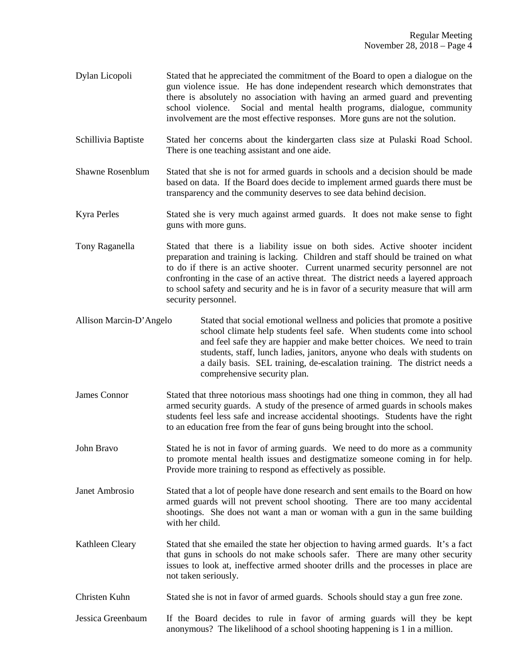- Dylan Licopoli Stated that he appreciated the commitment of the Board to open a dialogue on the gun violence issue. He has done independent research which demonstrates that there is absolutely no association with having an armed guard and preventing school violence. Social and mental health programs, dialogue, community involvement are the most effective responses. More guns are not the solution.
- Schillivia Baptiste Stated her concerns about the kindergarten class size at Pulaski Road School. There is one teaching assistant and one aide.
- Shawne Rosenblum Stated that she is not for armed guards in schools and a decision should be made based on data. If the Board does decide to implement armed guards there must be transparency and the community deserves to see data behind decision.
- Kyra Perles Stated she is very much against armed guards. It does not make sense to fight guns with more guns.
- Tony Raganella Stated that there is a liability issue on both sides. Active shooter incident preparation and training is lacking. Children and staff should be trained on what to do if there is an active shooter. Current unarmed security personnel are not confronting in the case of an active threat. The district needs a layered approach to school safety and security and he is in favor of a security measure that will arm security personnel.
- Allison Marcin-D'Angelo Stated that social emotional wellness and policies that promote a positive school climate help students feel safe. When students come into school and feel safe they are happier and make better choices. We need to train students, staff, lunch ladies, janitors, anyone who deals with students on a daily basis. SEL training, de-escalation training. The district needs a comprehensive security plan.
- James Connor Stated that three notorious mass shootings had one thing in common, they all had armed security guards. A study of the presence of armed guards in schools makes students feel less safe and increase accidental shootings. Students have the right to an education free from the fear of guns being brought into the school.
- John Bravo Stated he is not in favor of arming guards. We need to do more as a community to promote mental health issues and destigmatize someone coming in for help. Provide more training to respond as effectively as possible.
- Janet Ambrosio Stated that a lot of people have done research and sent emails to the Board on how armed guards will not prevent school shooting. There are too many accidental shootings. She does not want a man or woman with a gun in the same building with her child.
- Kathleen Cleary Stated that she emailed the state her objection to having armed guards. It's a fact that guns in schools do not make schools safer. There are many other security issues to look at, ineffective armed shooter drills and the processes in place are not taken seriously.
- Christen Kuhn Stated she is not in favor of armed guards. Schools should stay a gun free zone.
- Jessica Greenbaum If the Board decides to rule in favor of arming guards will they be kept anonymous? The likelihood of a school shooting happening is 1 in a million.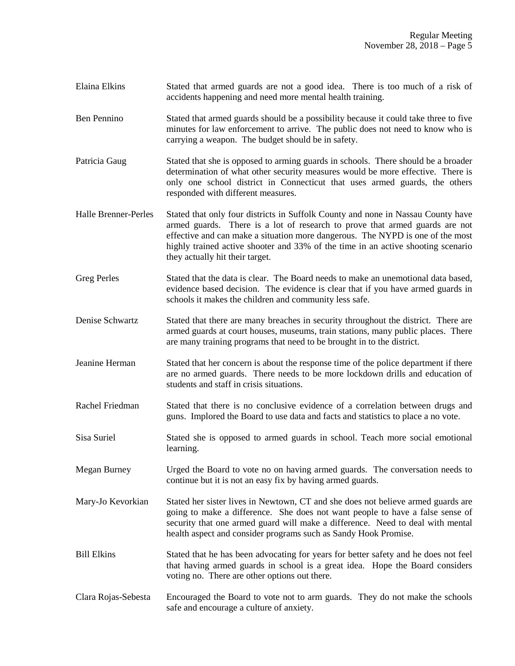- Elaina Elkins Stated that armed guards are not a good idea. There is too much of a risk of accidents happening and need more mental health training.
- Ben Pennino Stated that armed guards should be a possibility because it could take three to five minutes for law enforcement to arrive. The public does not need to know who is carrying a weapon. The budget should be in safety.
- Patricia Gaug Stated that she is opposed to arming guards in schools. There should be a broader determination of what other security measures would be more effective. There is only one school district in Connecticut that uses armed guards, the others responded with different measures.
- Halle Brenner-Perles Stated that only four districts in Suffolk County and none in Nassau County have armed guards. There is a lot of research to prove that armed guards are not effective and can make a situation more dangerous. The NYPD is one of the most highly trained active shooter and 33% of the time in an active shooting scenario they actually hit their target.
- Greg Perles Stated that the data is clear. The Board needs to make an unemotional data based, evidence based decision. The evidence is clear that if you have armed guards in schools it makes the children and community less safe.
- Denise Schwartz Stated that there are many breaches in security throughout the district. There are armed guards at court houses, museums, train stations, many public places. There are many training programs that need to be brought in to the district.
- Jeanine Herman Stated that her concern is about the response time of the police department if there are no armed guards. There needs to be more lockdown drills and education of students and staff in crisis situations.
- Rachel Friedman Stated that there is no conclusive evidence of a correlation between drugs and guns. Implored the Board to use data and facts and statistics to place a no vote.
- Sisa Suriel Stated she is opposed to armed guards in school. Teach more social emotional learning.
- Megan Burney Urged the Board to vote no on having armed guards. The conversation needs to continue but it is not an easy fix by having armed guards.
- Mary-Jo Kevorkian Stated her sister lives in Newtown, CT and she does not believe armed guards are going to make a difference. She does not want people to have a false sense of security that one armed guard will make a difference. Need to deal with mental health aspect and consider programs such as Sandy Hook Promise.
- Bill Elkins Stated that he has been advocating for years for better safety and he does not feel that having armed guards in school is a great idea. Hope the Board considers voting no. There are other options out there.
- Clara Rojas-Sebesta Encouraged the Board to vote not to arm guards. They do not make the schools safe and encourage a culture of anxiety.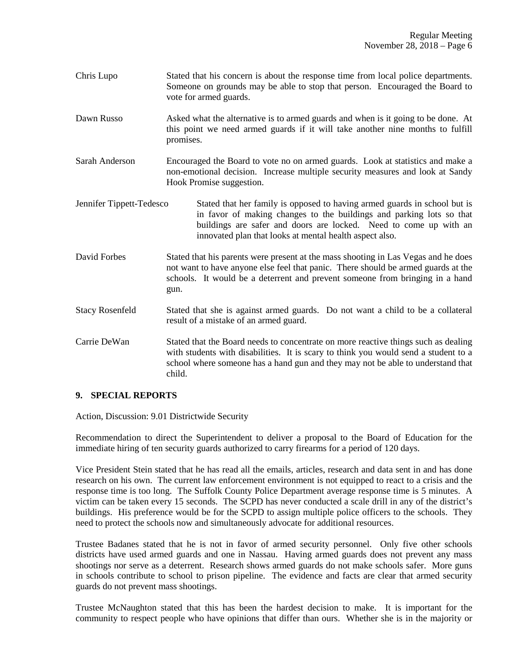- Chris Lupo Stated that his concern is about the response time from local police departments. Someone on grounds may be able to stop that person. Encouraged the Board to vote for armed guards.
- Dawn Russo Asked what the alternative is to armed guards and when is it going to be done. At this point we need armed guards if it will take another nine months to fulfill promises.
- Sarah Anderson Encouraged the Board to vote no on armed guards. Look at statistics and make a non-emotional decision. Increase multiple security measures and look at Sandy Hook Promise suggestion.
- Jennifer Tippett-Tedesco Stated that her family is opposed to having armed guards in school but is in favor of making changes to the buildings and parking lots so that buildings are safer and doors are locked. Need to come up with an innovated plan that looks at mental health aspect also.
- David Forbes Stated that his parents were present at the mass shooting in Las Vegas and he does not want to have anyone else feel that panic. There should be armed guards at the schools. It would be a deterrent and prevent someone from bringing in a hand gun.
- Stacy Rosenfeld Stated that she is against armed guards. Do not want a child to be a collateral result of a mistake of an armed guard.
- Carrie DeWan Stated that the Board needs to concentrate on more reactive things such as dealing with students with disabilities. It is scary to think you would send a student to a school where someone has a hand gun and they may not be able to understand that child.

## **9. SPECIAL REPORTS**

Action, Discussion: 9.01 Districtwide Security

Recommendation to direct the Superintendent to deliver a proposal to the Board of Education for the immediate hiring of ten security guards authorized to carry firearms for a period of 120 days.

Vice President Stein stated that he has read all the emails, articles, research and data sent in and has done research on his own. The current law enforcement environment is not equipped to react to a crisis and the response time is too long. The Suffolk County Police Department average response time is 5 minutes. A victim can be taken every 15 seconds. The SCPD has never conducted a scale drill in any of the district's buildings. His preference would be for the SCPD to assign multiple police officers to the schools. They need to protect the schools now and simultaneously advocate for additional resources.

Trustee Badanes stated that he is not in favor of armed security personnel. Only five other schools districts have used armed guards and one in Nassau. Having armed guards does not prevent any mass shootings nor serve as a deterrent. Research shows armed guards do not make schools safer. More guns in schools contribute to school to prison pipeline. The evidence and facts are clear that armed security guards do not prevent mass shootings.

Trustee McNaughton stated that this has been the hardest decision to make. It is important for the community to respect people who have opinions that differ than ours. Whether she is in the majority or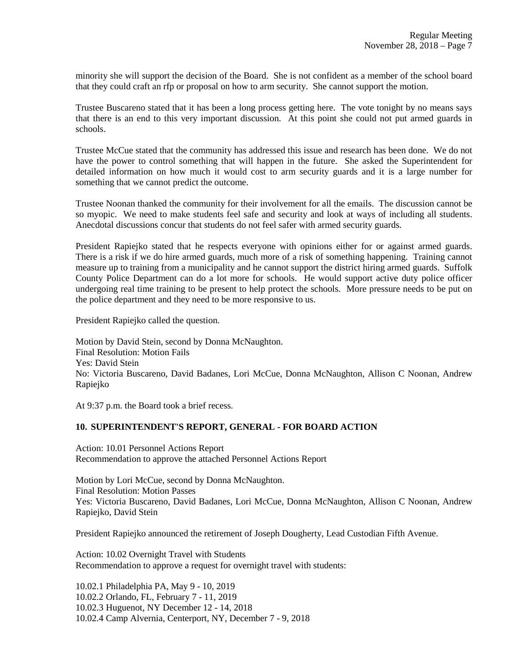minority she will support the decision of the Board. She is not confident as a member of the school board that they could craft an rfp or proposal on how to arm security. She cannot support the motion.

Trustee Buscareno stated that it has been a long process getting here. The vote tonight by no means says that there is an end to this very important discussion. At this point she could not put armed guards in schools.

Trustee McCue stated that the community has addressed this issue and research has been done. We do not have the power to control something that will happen in the future. She asked the Superintendent for detailed information on how much it would cost to arm security guards and it is a large number for something that we cannot predict the outcome.

Trustee Noonan thanked the community for their involvement for all the emails. The discussion cannot be so myopic. We need to make students feel safe and security and look at ways of including all students. Anecdotal discussions concur that students do not feel safer with armed security guards.

President Rapiejko stated that he respects everyone with opinions either for or against armed guards. There is a risk if we do hire armed guards, much more of a risk of something happening. Training cannot measure up to training from a municipality and he cannot support the district hiring armed guards. Suffolk County Police Department can do a lot more for schools. He would support active duty police officer undergoing real time training to be present to help protect the schools. More pressure needs to be put on the police department and they need to be more responsive to us.

President Rapiejko called the question.

Motion by David Stein, second by Donna McNaughton. Final Resolution: Motion Fails Yes: David Stein No: Victoria Buscareno, David Badanes, Lori McCue, Donna McNaughton, Allison C Noonan, Andrew Rapiejko

At 9:37 p.m. the Board took a brief recess.

# **10. SUPERINTENDENT'S REPORT, GENERAL - FOR BOARD ACTION**

Action: 10.01 Personnel Actions Report Recommendation to approve the attached Personnel Actions Report

Motion by Lori McCue, second by Donna McNaughton. Final Resolution: Motion Passes Yes: Victoria Buscareno, David Badanes, Lori McCue, Donna McNaughton, Allison C Noonan, Andrew Rapiejko, David Stein

President Rapiejko announced the retirement of Joseph Dougherty, Lead Custodian Fifth Avenue.

Action: 10.02 Overnight Travel with Students Recommendation to approve a request for overnight travel with students:

10.02.1 Philadelphia PA, May 9 - 10, 2019 10.02.2 Orlando, FL, February 7 - 11, 2019 10.02.3 Huguenot, NY December 12 - 14, 2018 10.02.4 Camp Alvernia, Centerport, NY, December 7 - 9, 2018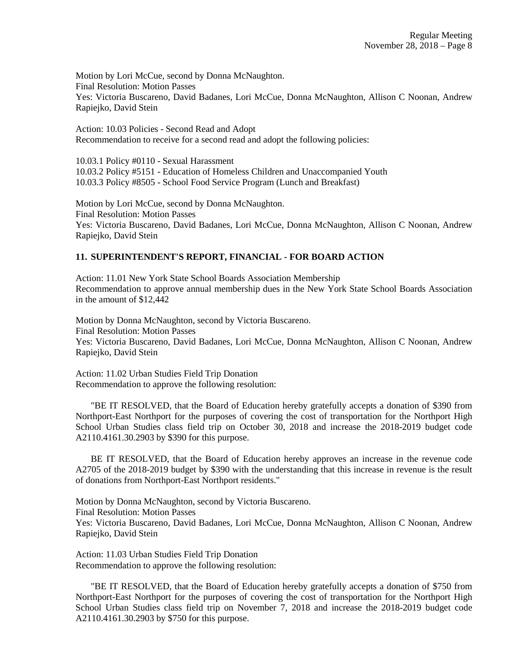Motion by Lori McCue, second by Donna McNaughton. Final Resolution: Motion Passes Yes: Victoria Buscareno, David Badanes, Lori McCue, Donna McNaughton, Allison C Noonan, Andrew Rapiejko, David Stein

Action: 10.03 Policies - Second Read and Adopt Recommendation to receive for a second read and adopt the following policies:

10.03.1 Policy #0110 - Sexual Harassment 10.03.2 Policy #5151 - Education of Homeless Children and Unaccompanied Youth 10.03.3 Policy #8505 - School Food Service Program (Lunch and Breakfast)

Motion by Lori McCue, second by Donna McNaughton. Final Resolution: Motion Passes Yes: Victoria Buscareno, David Badanes, Lori McCue, Donna McNaughton, Allison C Noonan, Andrew Rapiejko, David Stein

## **11. SUPERINTENDENT'S REPORT, FINANCIAL - FOR BOARD ACTION**

Action: 11.01 New York State School Boards Association Membership Recommendation to approve annual membership dues in the New York State School Boards Association in the amount of \$12,442

Motion by Donna McNaughton, second by Victoria Buscareno. Final Resolution: Motion Passes Yes: Victoria Buscareno, David Badanes, Lori McCue, Donna McNaughton, Allison C Noonan, Andrew Rapiejko, David Stein

Action: 11.02 Urban Studies Field Trip Donation Recommendation to approve the following resolution:

 "BE IT RESOLVED, that the Board of Education hereby gratefully accepts a donation of \$390 from Northport-East Northport for the purposes of covering the cost of transportation for the Northport High School Urban Studies class field trip on October 30, 2018 and increase the 2018-2019 budget code A2110.4161.30.2903 by \$390 for this purpose.

 BE IT RESOLVED, that the Board of Education hereby approves an increase in the revenue code A2705 of the 2018-2019 budget by \$390 with the understanding that this increase in revenue is the result of donations from Northport-East Northport residents."

Motion by Donna McNaughton, second by Victoria Buscareno. Final Resolution: Motion Passes Yes: Victoria Buscareno, David Badanes, Lori McCue, Donna McNaughton, Allison C Noonan, Andrew Rapiejko, David Stein

Action: 11.03 Urban Studies Field Trip Donation Recommendation to approve the following resolution:

 "BE IT RESOLVED, that the Board of Education hereby gratefully accepts a donation of \$750 from Northport-East Northport for the purposes of covering the cost of transportation for the Northport High School Urban Studies class field trip on November 7, 2018 and increase the 2018-2019 budget code A2110.4161.30.2903 by \$750 for this purpose.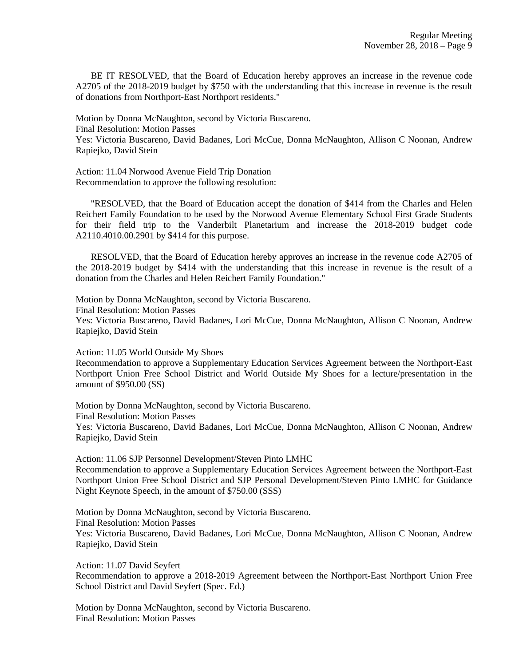BE IT RESOLVED, that the Board of Education hereby approves an increase in the revenue code A2705 of the 2018-2019 budget by \$750 with the understanding that this increase in revenue is the result of donations from Northport-East Northport residents."

Motion by Donna McNaughton, second by Victoria Buscareno. Final Resolution: Motion Passes Yes: Victoria Buscareno, David Badanes, Lori McCue, Donna McNaughton, Allison C Noonan, Andrew Rapiejko, David Stein

Action: 11.04 Norwood Avenue Field Trip Donation Recommendation to approve the following resolution:

 "RESOLVED, that the Board of Education accept the donation of \$414 from the Charles and Helen Reichert Family Foundation to be used by the Norwood Avenue Elementary School First Grade Students for their field trip to the Vanderbilt Planetarium and increase the 2018-2019 budget code A2110.4010.00.2901 by \$414 for this purpose.

 RESOLVED, that the Board of Education hereby approves an increase in the revenue code A2705 of the 2018-2019 budget by \$414 with the understanding that this increase in revenue is the result of a donation from the Charles and Helen Reichert Family Foundation."

Motion by Donna McNaughton, second by Victoria Buscareno. Final Resolution: Motion Passes Yes: Victoria Buscareno, David Badanes, Lori McCue, Donna McNaughton, Allison C Noonan, Andrew Rapiejko, David Stein

Action: 11.05 World Outside My Shoes

Recommendation to approve a Supplementary Education Services Agreement between the Northport-East Northport Union Free School District and World Outside My Shoes for a lecture/presentation in the amount of \$950.00 (SS)

Motion by Donna McNaughton, second by Victoria Buscareno. Final Resolution: Motion Passes Yes: Victoria Buscareno, David Badanes, Lori McCue, Donna McNaughton, Allison C Noonan, Andrew Rapiejko, David Stein

Action: 11.06 SJP Personnel Development/Steven Pinto LMHC Recommendation to approve a Supplementary Education Services Agreement between the Northport-East Northport Union Free School District and SJP Personal Development/Steven Pinto LMHC for Guidance Night Keynote Speech, in the amount of \$750.00 (SSS)

Motion by Donna McNaughton, second by Victoria Buscareno. Final Resolution: Motion Passes Yes: Victoria Buscareno, David Badanes, Lori McCue, Donna McNaughton, Allison C Noonan, Andrew Rapiejko, David Stein

Action: 11.07 David Seyfert Recommendation to approve a 2018-2019 Agreement between the Northport-East Northport Union Free School District and David Seyfert (Spec. Ed.)

Motion by Donna McNaughton, second by Victoria Buscareno. Final Resolution: Motion Passes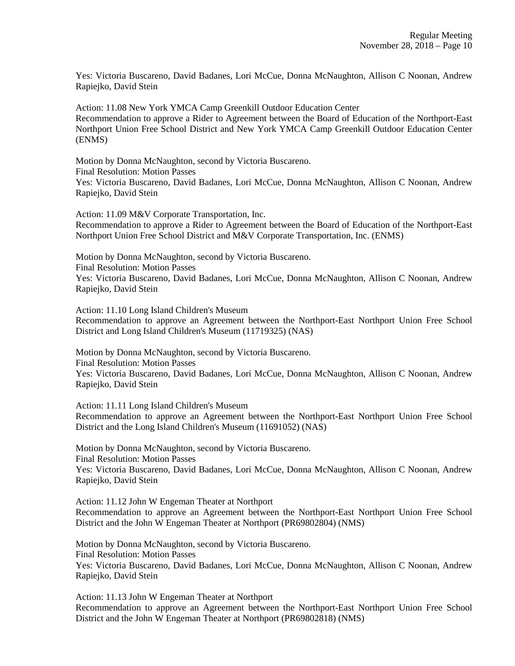Yes: Victoria Buscareno, David Badanes, Lori McCue, Donna McNaughton, Allison C Noonan, Andrew Rapiejko, David Stein

Action: 11.08 New York YMCA Camp Greenkill Outdoor Education Center Recommendation to approve a Rider to Agreement between the Board of Education of the Northport-East Northport Union Free School District and New York YMCA Camp Greenkill Outdoor Education Center (ENMS)

Motion by Donna McNaughton, second by Victoria Buscareno. Final Resolution: Motion Passes Yes: Victoria Buscareno, David Badanes, Lori McCue, Donna McNaughton, Allison C Noonan, Andrew Rapiejko, David Stein

Action: 11.09 M&V Corporate Transportation, Inc. Recommendation to approve a Rider to Agreement between the Board of Education of the Northport-East Northport Union Free School District and M&V Corporate Transportation, Inc. (ENMS)

Motion by Donna McNaughton, second by Victoria Buscareno. Final Resolution: Motion Passes Yes: Victoria Buscareno, David Badanes, Lori McCue, Donna McNaughton, Allison C Noonan, Andrew Rapiejko, David Stein

Action: 11.10 Long Island Children's Museum

Recommendation to approve an Agreement between the Northport-East Northport Union Free School District and Long Island Children's Museum (11719325) (NAS)

Motion by Donna McNaughton, second by Victoria Buscareno. Final Resolution: Motion Passes Yes: Victoria Buscareno, David Badanes, Lori McCue, Donna McNaughton, Allison C Noonan, Andrew Rapiejko, David Stein

Action: 11.11 Long Island Children's Museum

Recommendation to approve an Agreement between the Northport-East Northport Union Free School District and the Long Island Children's Museum (11691052) (NAS)

Motion by Donna McNaughton, second by Victoria Buscareno. Final Resolution: Motion Passes Yes: Victoria Buscareno, David Badanes, Lori McCue, Donna McNaughton, Allison C Noonan, Andrew Rapiejko, David Stein

Action: 11.12 John W Engeman Theater at Northport Recommendation to approve an Agreement between the Northport-East Northport Union Free School District and the John W Engeman Theater at Northport (PR69802804) (NMS)

Motion by Donna McNaughton, second by Victoria Buscareno. Final Resolution: Motion Passes Yes: Victoria Buscareno, David Badanes, Lori McCue, Donna McNaughton, Allison C Noonan, Andrew Rapiejko, David Stein

Action: 11.13 John W Engeman Theater at Northport Recommendation to approve an Agreement between the Northport-East Northport Union Free School District and the John W Engeman Theater at Northport (PR69802818) (NMS)